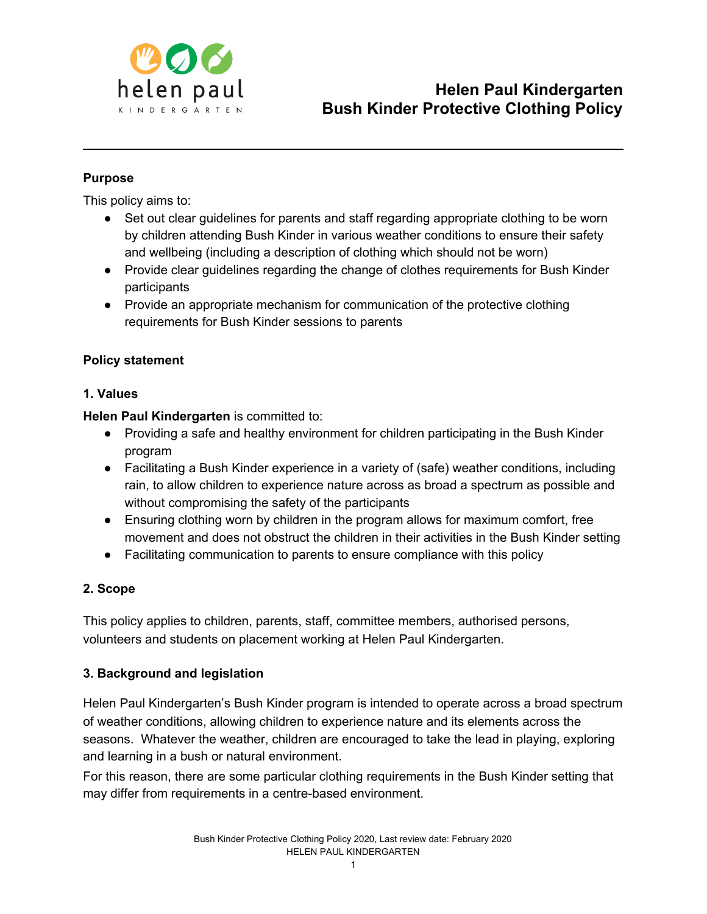

# **Purpose**

This policy aims to:

- Set out clear guidelines for parents and staff regarding appropriate clothing to be worn by children attending Bush Kinder in various weather conditions to ensure their safety and wellbeing (including a description of clothing which should not be worn)
- Provide clear guidelines regarding the change of clothes requirements for Bush Kinder participants
- Provide an appropriate mechanism for communication of the protective clothing requirements for Bush Kinder sessions to parents

#### **Policy statement**

#### **1. Values**

**Helen Paul Kindergarten** is committed to:

- Providing a safe and healthy environment for children participating in the Bush Kinder program
- Facilitating a Bush Kinder experience in a variety of (safe) weather conditions, including rain, to allow children to experience nature across as broad a spectrum as possible and without compromising the safety of the participants
- Ensuring clothing worn by children in the program allows for maximum comfort, free movement and does not obstruct the children in their activities in the Bush Kinder setting
- Facilitating communication to parents to ensure compliance with this policy

# **2. Scope**

This policy applies to children, parents, staff, committee members, authorised persons, volunteers and students on placement working at Helen Paul Kindergarten.

# **3. Background and legislation**

Helen Paul Kindergarten's Bush Kinder program is intended to operate across a broad spectrum of weather conditions, allowing children to experience nature and its elements across the seasons. Whatever the weather, children are encouraged to take the lead in playing, exploring and learning in a bush or natural environment.

For this reason, there are some particular clothing requirements in the Bush Kinder setting that may differ from requirements in a centre-based environment.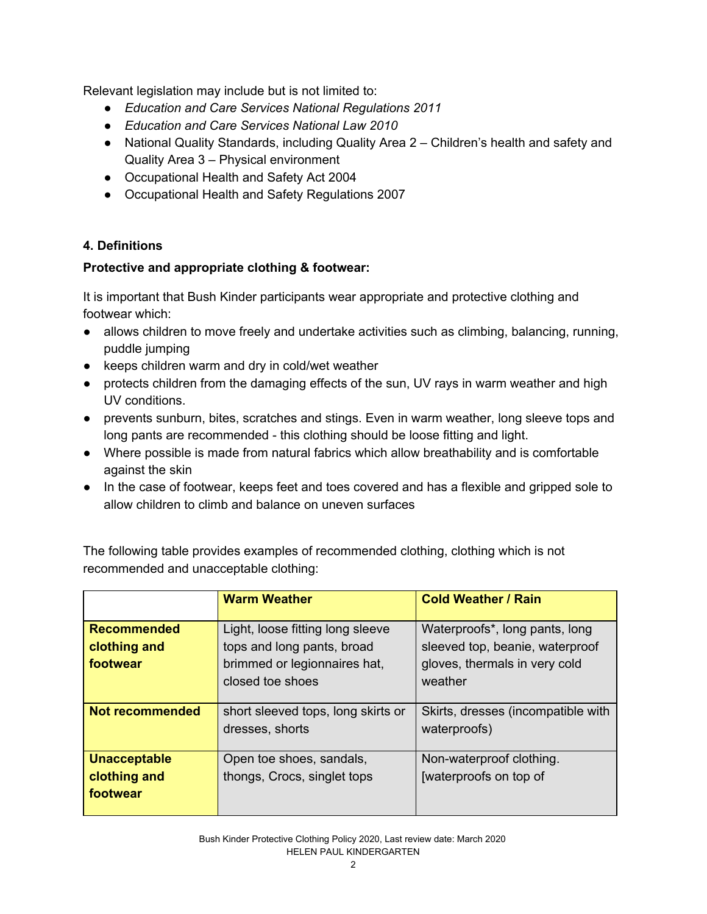Relevant legislation may include but is not limited to:

- *Education and Care Services National Regulations 2011*
- *Education and Care Services National Law 2010*
- National Quality Standards, including Quality Area 2 Children's health and safety and Quality Area 3 – Physical environment
- Occupational Health and Safety Act 2004
- Occupational Health and Safety Regulations 2007

# **4. Definitions**

# **Protective and appropriate clothing & footwear:**

It is important that Bush Kinder participants wear appropriate and protective clothing and footwear which:

- allows children to move freely and undertake activities such as climbing, balancing, running, puddle jumping
- keeps children warm and dry in cold/wet weather
- protects children from the damaging effects of the sun, UV rays in warm weather and high UV conditions.
- prevents sunburn, bites, scratches and stings. Even in warm weather, long sleeve tops and long pants are recommended - this clothing should be loose fitting and light.
- Where possible is made from natural fabrics which allow breathability and is comfortable against the skin
- In the case of footwear, keeps feet and toes covered and has a flexible and gripped sole to allow children to climb and balance on uneven surfaces

| recommended and unacceptable clothing. |                                                       |                                                    |  |
|----------------------------------------|-------------------------------------------------------|----------------------------------------------------|--|
|                                        | <b>Warm Weather</b>                                   | <b>Cold Weather / Rain</b>                         |  |
| <b>Recommended</b>                     | Light, loose fitting long sleeve                      | Waterproofs*, long pants, long                     |  |
| clothing and                           | tops and long pants, broad                            | sleeved top, beanie, waterproof                    |  |
| footwear                               | brimmed or legionnaires hat,                          | gloves, thermals in very cold                      |  |
|                                        | closed toe shoes                                      | weather                                            |  |
| <b>Not recommended</b>                 | short sleeved tops, long skirts or<br>dresses, shorts | Skirts, dresses (incompatible with<br>waterproofs) |  |
| <b>Unacceptable</b>                    | Open toe shoes, sandals,                              | Non-waterproof clothing.                           |  |
| clothing and                           | thongs, Crocs, singlet tops                           | [waterproofs on top of                             |  |
| footwear                               |                                                       |                                                    |  |

The following table provides examples of recommended clothing, clothing which is not red unacceptable alething: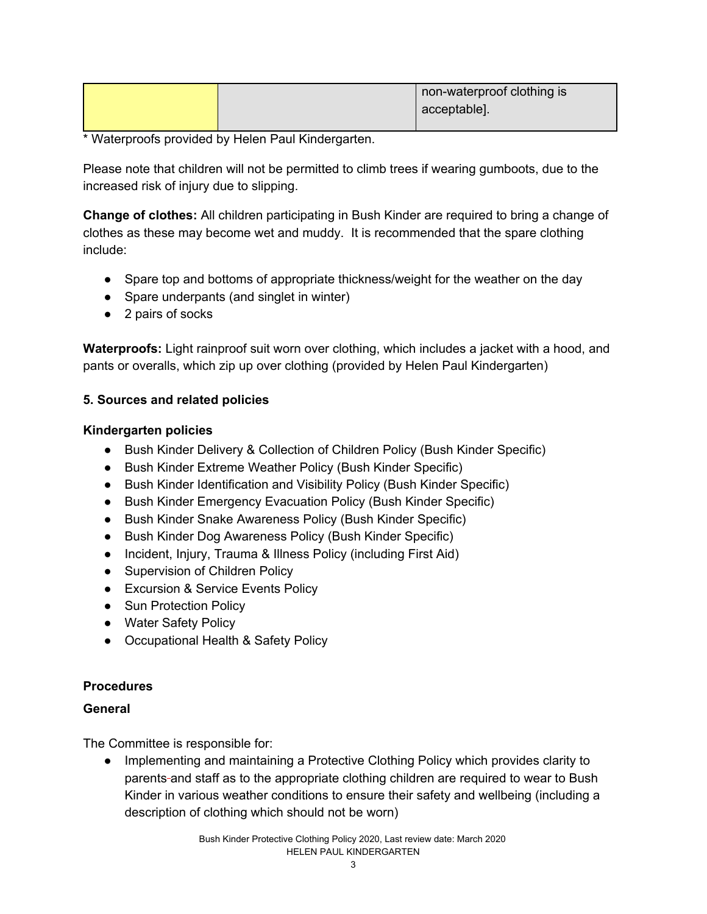|  | non-waterproof clothing is |
|--|----------------------------|
|  | acceptable].               |
|  |                            |

\* Waterproofs provided by Helen Paul Kindergarten.

Please note that children will not be permitted to climb trees if wearing gumboots, due to the increased risk of injury due to slipping.

**Change of clothes:** All children participating in Bush Kinder are required to bring a change of clothes as these may become wet and muddy. It is recommended that the spare clothing include:

- Spare top and bottoms of appropriate thickness/weight for the weather on the day
- Spare underpants (and singlet in winter)
- 2 pairs of socks

**Waterproofs:** Light rainproof suit worn over clothing, which includes a jacket with a hood, and pants or overalls, which zip up over clothing (provided by Helen Paul Kindergarten)

# **5. Sources and related policies**

#### **Kindergarten policies**

- Bush Kinder Delivery & Collection of Children Policy (Bush Kinder Specific)
- Bush Kinder Extreme Weather Policy (Bush Kinder Specific)
- Bush Kinder Identification and Visibility Policy (Bush Kinder Specific)
- Bush Kinder Emergency Evacuation Policy (Bush Kinder Specific)
- Bush Kinder Snake Awareness Policy (Bush Kinder Specific)
- Bush Kinder Dog Awareness Policy (Bush Kinder Specific)
- Incident, Injury, Trauma & Illness Policy (including First Aid)
- Supervision of Children Policy
- Excursion & Service Events Policy
- Sun Protection Policy
- Water Safety Policy
- Occupational Health & Safety Policy

#### **Procedures**

# **General**

The Committee is responsible for:

● Implementing and maintaining a Protective Clothing Policy which provides clarity to parents and staff as to the appropriate clothing children are required to wear to Bush Kinder in various weather conditions to ensure their safety and wellbeing (including a description of clothing which should not be worn)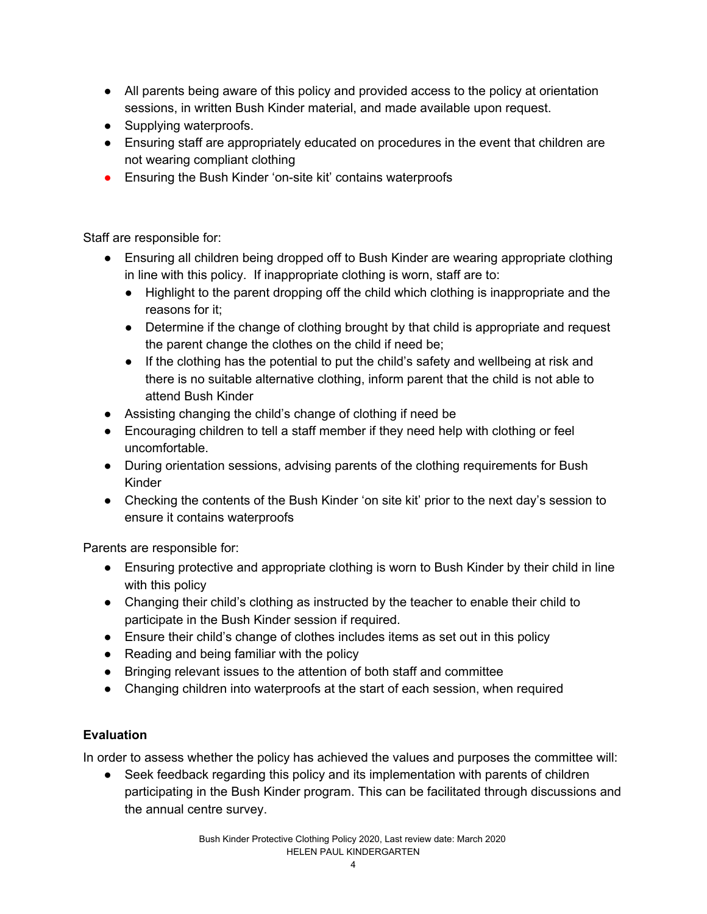- All parents being aware of this policy and provided access to the policy at orientation sessions, in written Bush Kinder material, and made available upon request.
- Supplying waterproofs.
- Ensuring staff are appropriately educated on procedures in the event that children are not wearing compliant clothing
- Ensuring the Bush Kinder 'on-site kit' contains waterproofs

Staff are responsible for:

- Ensuring all children being dropped off to Bush Kinder are wearing appropriate clothing in line with this policy. If inappropriate clothing is worn, staff are to:
	- Highlight to the parent dropping off the child which clothing is inappropriate and the reasons for it;
	- Determine if the change of clothing brought by that child is appropriate and request the parent change the clothes on the child if need be;
	- If the clothing has the potential to put the child's safety and wellbeing at risk and there is no suitable alternative clothing, inform parent that the child is not able to attend Bush Kinder
- Assisting changing the child's change of clothing if need be
- Encouraging children to tell a staff member if they need help with clothing or feel uncomfortable.
- During orientation sessions, advising parents of the clothing requirements for Bush Kinder
- Checking the contents of the Bush Kinder 'on site kit' prior to the next day's session to ensure it contains waterproofs

Parents are responsible for:

- Ensuring protective and appropriate clothing is worn to Bush Kinder by their child in line with this policy
- Changing their child's clothing as instructed by the teacher to enable their child to participate in the Bush Kinder session if required.
- Ensure their child's change of clothes includes items as set out in this policy
- Reading and being familiar with the policy
- Bringing relevant issues to the attention of both staff and committee
- Changing children into waterproofs at the start of each session, when required

# **Evaluation**

In order to assess whether the policy has achieved the values and purposes the committee will:

• Seek feedback regarding this policy and its implementation with parents of children participating in the Bush Kinder program. This can be facilitated through discussions and the annual centre survey.